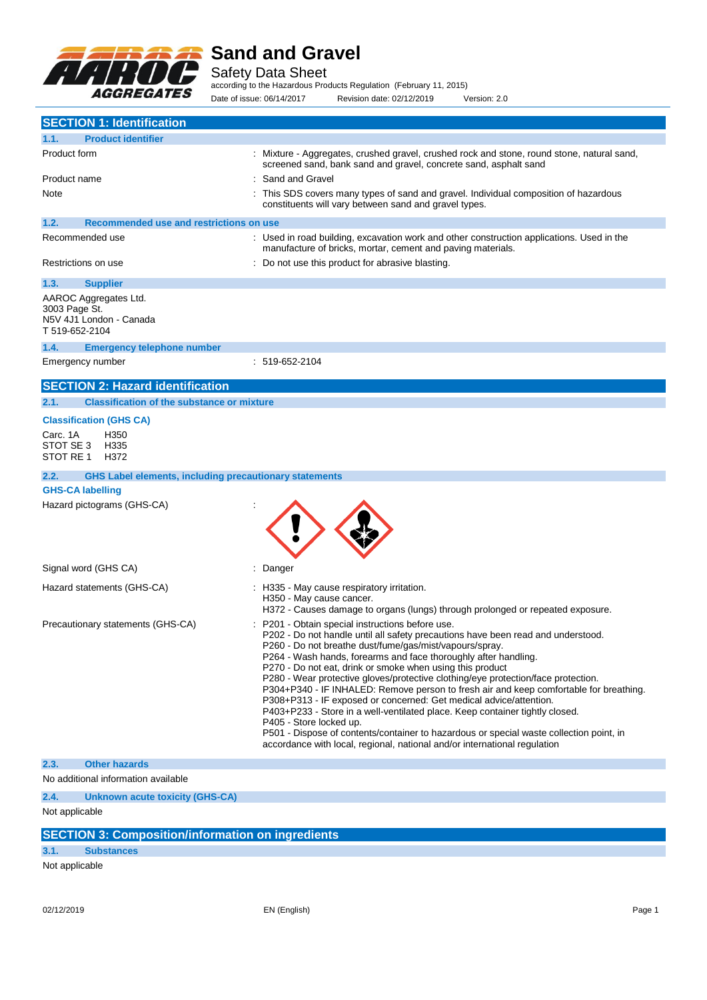

Safety Data Sheet

according to the Hazardous Products Regulation (February 11, 2015) Date of issue: 06/14/2017 Revision date: 02/12/2019 Version: 2.0

|                                    | <b>SECTION 1: Identification</b>                              |                                                                                                                                                                                                                                                                                                                                                                                                                                                                                                                                                                                                                                                                                                                                                                                                                                                                       |
|------------------------------------|---------------------------------------------------------------|-----------------------------------------------------------------------------------------------------------------------------------------------------------------------------------------------------------------------------------------------------------------------------------------------------------------------------------------------------------------------------------------------------------------------------------------------------------------------------------------------------------------------------------------------------------------------------------------------------------------------------------------------------------------------------------------------------------------------------------------------------------------------------------------------------------------------------------------------------------------------|
| 1.1.                               | <b>Product identifier</b>                                     |                                                                                                                                                                                                                                                                                                                                                                                                                                                                                                                                                                                                                                                                                                                                                                                                                                                                       |
| Product form                       |                                                               | : Mixture - Aggregates, crushed gravel, crushed rock and stone, round stone, natural sand,<br>screened sand, bank sand and gravel, concrete sand, asphalt sand                                                                                                                                                                                                                                                                                                                                                                                                                                                                                                                                                                                                                                                                                                        |
| Product name                       |                                                               | Sand and Gravel                                                                                                                                                                                                                                                                                                                                                                                                                                                                                                                                                                                                                                                                                                                                                                                                                                                       |
| Note                               |                                                               | This SDS covers many types of sand and gravel. Individual composition of hazardous<br>constituents will vary between sand and gravel types.                                                                                                                                                                                                                                                                                                                                                                                                                                                                                                                                                                                                                                                                                                                           |
| 1.2.                               | Recommended use and restrictions on use                       |                                                                                                                                                                                                                                                                                                                                                                                                                                                                                                                                                                                                                                                                                                                                                                                                                                                                       |
|                                    | Recommended use                                               | : Used in road building, excavation work and other construction applications. Used in the<br>manufacture of bricks, mortar, cement and paving materials.                                                                                                                                                                                                                                                                                                                                                                                                                                                                                                                                                                                                                                                                                                              |
|                                    | Restrictions on use                                           | : Do not use this product for abrasive blasting.                                                                                                                                                                                                                                                                                                                                                                                                                                                                                                                                                                                                                                                                                                                                                                                                                      |
| 1.3.                               | <b>Supplier</b>                                               |                                                                                                                                                                                                                                                                                                                                                                                                                                                                                                                                                                                                                                                                                                                                                                                                                                                                       |
| 3003 Page St.<br>T 519-652-2104    | AAROC Aggregates Ltd.<br>N5V 4J1 London - Canada              |                                                                                                                                                                                                                                                                                                                                                                                                                                                                                                                                                                                                                                                                                                                                                                                                                                                                       |
| 1.4.                               | <b>Emergency telephone number</b>                             |                                                                                                                                                                                                                                                                                                                                                                                                                                                                                                                                                                                                                                                                                                                                                                                                                                                                       |
|                                    | Emergency number                                              | : 519-652-2104                                                                                                                                                                                                                                                                                                                                                                                                                                                                                                                                                                                                                                                                                                                                                                                                                                                        |
|                                    | <b>SECTION 2: Hazard identification</b>                       |                                                                                                                                                                                                                                                                                                                                                                                                                                                                                                                                                                                                                                                                                                                                                                                                                                                                       |
| 2.1.                               | <b>Classification of the substance or mixture</b>             |                                                                                                                                                                                                                                                                                                                                                                                                                                                                                                                                                                                                                                                                                                                                                                                                                                                                       |
|                                    | <b>Classification (GHS CA)</b>                                |                                                                                                                                                                                                                                                                                                                                                                                                                                                                                                                                                                                                                                                                                                                                                                                                                                                                       |
| Carc. 1A<br>STOT SE 3<br>STOT RE 1 | H350<br>H335<br>H372                                          |                                                                                                                                                                                                                                                                                                                                                                                                                                                                                                                                                                                                                                                                                                                                                                                                                                                                       |
| 2.2.                               | <b>GHS Label elements, including precautionary statements</b> |                                                                                                                                                                                                                                                                                                                                                                                                                                                                                                                                                                                                                                                                                                                                                                                                                                                                       |
|                                    | <b>GHS-CA labelling</b>                                       |                                                                                                                                                                                                                                                                                                                                                                                                                                                                                                                                                                                                                                                                                                                                                                                                                                                                       |
|                                    | Hazard pictograms (GHS-CA)                                    |                                                                                                                                                                                                                                                                                                                                                                                                                                                                                                                                                                                                                                                                                                                                                                                                                                                                       |
|                                    | Signal word (GHS CA)                                          | Danger                                                                                                                                                                                                                                                                                                                                                                                                                                                                                                                                                                                                                                                                                                                                                                                                                                                                |
|                                    | Hazard statements (GHS-CA)                                    | : H335 - May cause respiratory irritation.<br>H350 - May cause cancer.<br>H372 - Causes damage to organs (lungs) through prolonged or repeated exposure.                                                                                                                                                                                                                                                                                                                                                                                                                                                                                                                                                                                                                                                                                                              |
|                                    | Precautionary statements (GHS-CA)                             | P201 - Obtain special instructions before use.<br>P202 - Do not handle until all safety precautions have been read and understood.<br>P260 - Do not breathe dust/fume/gas/mist/vapours/spray.<br>P264 - Wash hands, forearms and face thoroughly after handling.<br>P270 - Do not eat, drink or smoke when using this product<br>P280 - Wear protective gloves/protective clothing/eye protection/face protection.<br>P304+P340 - IF INHALED: Remove person to fresh air and keep comfortable for breathing.<br>P308+P313 - IF exposed or concerned: Get medical advice/attention.<br>P403+P233 - Store in a well-ventilated place. Keep container tightly closed.<br>P405 - Store locked up.<br>P501 - Dispose of contents/container to hazardous or special waste collection point, in<br>accordance with local, regional, national and/or international regulation |
| 2.3.                               | <b>Other hazards</b>                                          |                                                                                                                                                                                                                                                                                                                                                                                                                                                                                                                                                                                                                                                                                                                                                                                                                                                                       |
|                                    | No additional information available                           |                                                                                                                                                                                                                                                                                                                                                                                                                                                                                                                                                                                                                                                                                                                                                                                                                                                                       |
| 2.4.                               | Unknown acute toxicity (GHS-CA)                               |                                                                                                                                                                                                                                                                                                                                                                                                                                                                                                                                                                                                                                                                                                                                                                                                                                                                       |
| Not applicable                     |                                                               |                                                                                                                                                                                                                                                                                                                                                                                                                                                                                                                                                                                                                                                                                                                                                                                                                                                                       |
|                                    | <b>SECTION 3: Composition/information on ingredients</b>      |                                                                                                                                                                                                                                                                                                                                                                                                                                                                                                                                                                                                                                                                                                                                                                                                                                                                       |
| 3.1.                               | <b>Substances</b>                                             |                                                                                                                                                                                                                                                                                                                                                                                                                                                                                                                                                                                                                                                                                                                                                                                                                                                                       |

Not applicable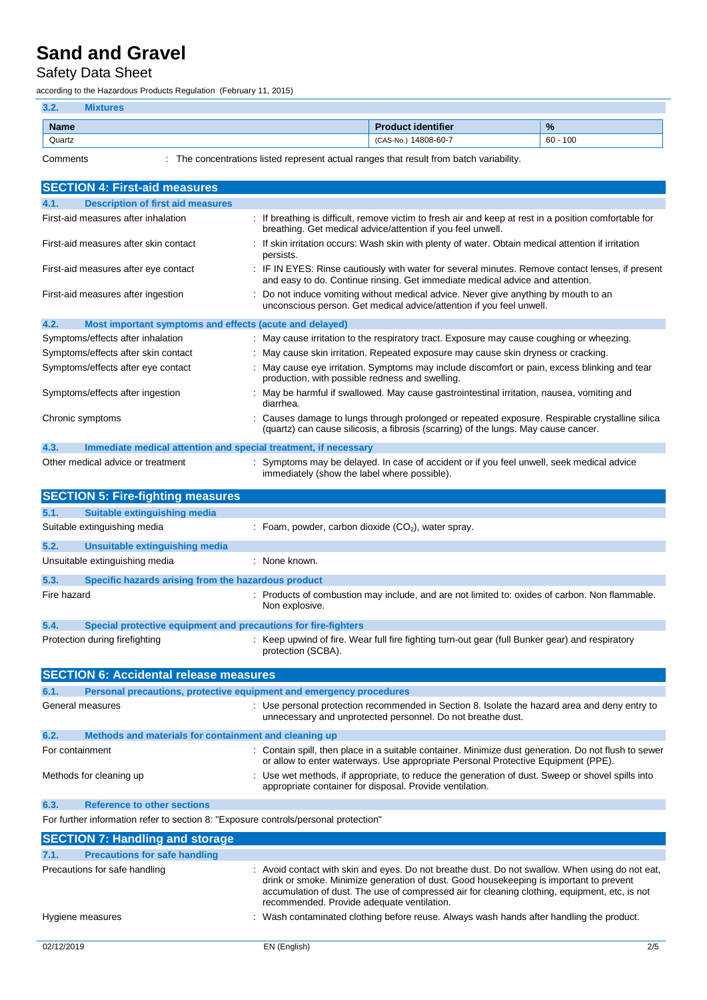## Safety Data Sheet

according to the Hazardous Products Regulation (February 11, 2015)

| 3.2.        | <b>Vixtures</b> |                           |               |
|-------------|-----------------|---------------------------|---------------|
| <b>Name</b> |                 | <b>Product identifier</b> | $\frac{9}{6}$ |
| Quartz      |                 | (CAS-No.) 14808-60-7      | $60 - 100$    |
|             |                 |                           |               |

Comments : The concentrations listed represent actual ranges that result from batch variability.

| <b>SECTION 4: First-aid measures</b>                                                |                                                                                                                                                                                                                                                                                                                                          |  |
|-------------------------------------------------------------------------------------|------------------------------------------------------------------------------------------------------------------------------------------------------------------------------------------------------------------------------------------------------------------------------------------------------------------------------------------|--|
| <b>Description of first aid measures</b><br>4.1.                                    |                                                                                                                                                                                                                                                                                                                                          |  |
| First-aid measures after inhalation                                                 | : If breathing is difficult, remove victim to fresh air and keep at rest in a position comfortable for<br>breathing. Get medical advice/attention if you feel unwell.                                                                                                                                                                    |  |
| First-aid measures after skin contact                                               | If skin irritation occurs: Wash skin with plenty of water. Obtain medical attention if irritation<br>persists.                                                                                                                                                                                                                           |  |
| First-aid measures after eye contact                                                | IF IN EYES: Rinse cautiously with water for several minutes. Remove contact lenses, if present<br>and easy to do. Continue rinsing. Get immediate medical advice and attention.                                                                                                                                                          |  |
| First-aid measures after ingestion                                                  | : Do not induce vomiting without medical advice. Never give anything by mouth to an<br>unconscious person. Get medical advice/attention if you feel unwell.                                                                                                                                                                              |  |
| 4.2.<br>Most important symptoms and effects (acute and delayed)                     |                                                                                                                                                                                                                                                                                                                                          |  |
| Symptoms/effects after inhalation                                                   | : May cause irritation to the respiratory tract. Exposure may cause coughing or wheezing.                                                                                                                                                                                                                                                |  |
| Symptoms/effects after skin contact                                                 | : May cause skin irritation. Repeated exposure may cause skin dryness or cracking.                                                                                                                                                                                                                                                       |  |
| Symptoms/effects after eye contact                                                  | : May cause eye irritation. Symptoms may include discomfort or pain, excess blinking and tear<br>production, with possible redness and swelling.                                                                                                                                                                                         |  |
| Symptoms/effects after ingestion                                                    | May be harmful if swallowed. May cause gastrointestinal irritation, nausea, vomiting and<br>diarrhea.                                                                                                                                                                                                                                    |  |
| Chronic symptoms                                                                    | Causes damage to lungs through prolonged or repeated exposure. Respirable crystalline silica<br>(quartz) can cause silicosis, a fibrosis (scarring) of the lungs. May cause cancer.                                                                                                                                                      |  |
| 4.3.<br>Immediate medical attention and special treatment, if necessary             |                                                                                                                                                                                                                                                                                                                                          |  |
| Other medical advice or treatment                                                   | : Symptoms may be delayed. In case of accident or if you feel unwell, seek medical advice<br>immediately (show the label where possible).                                                                                                                                                                                                |  |
| <b>SECTION 5: Fire-fighting measures</b>                                            |                                                                                                                                                                                                                                                                                                                                          |  |
| 5.1.<br>Suitable extinguishing media                                                |                                                                                                                                                                                                                                                                                                                                          |  |
| Suitable extinguishing media                                                        | : Foam, powder, carbon dioxide $(CO2)$ , water spray.                                                                                                                                                                                                                                                                                    |  |
| 5.2.<br>Unsuitable extinguishing media                                              |                                                                                                                                                                                                                                                                                                                                          |  |
| Unsuitable extinguishing media                                                      | : None known.                                                                                                                                                                                                                                                                                                                            |  |
| 5.3.<br>Specific hazards arising from the hazardous product                         |                                                                                                                                                                                                                                                                                                                                          |  |
| Fire hazard                                                                         | : Products of combustion may include, and are not limited to: oxides of carbon. Non flammable.<br>Non explosive.                                                                                                                                                                                                                         |  |
| 5.4.<br>Special protective equipment and precautions for fire-fighters              |                                                                                                                                                                                                                                                                                                                                          |  |
| Protection during firefighting                                                      | : Keep upwind of fire. Wear full fire fighting turn-out gear (full Bunker gear) and respiratory<br>protection (SCBA).                                                                                                                                                                                                                    |  |
| <b>SECTION 6: Accidental release measures</b>                                       |                                                                                                                                                                                                                                                                                                                                          |  |
| 6.1.<br>Personal precautions, protective equipment and emergency procedures         |                                                                                                                                                                                                                                                                                                                                          |  |
| General measures                                                                    | : Use personal protection recommended in Section 8. Isolate the hazard area and deny entry to<br>unnecessary and unprotected personnel. Do not breathe dust.                                                                                                                                                                             |  |
|                                                                                     |                                                                                                                                                                                                                                                                                                                                          |  |
| 6.2.<br>Methods and materials for containment and cleaning up                       |                                                                                                                                                                                                                                                                                                                                          |  |
| For containment                                                                     | : Contain spill, then place in a suitable container. Minimize dust generation. Do not flush to sewer<br>or allow to enter waterways. Use appropriate Personal Protective Equipment (PPE).                                                                                                                                                |  |
| Methods for cleaning up                                                             | Use wet methods, if appropriate, to reduce the generation of dust. Sweep or shovel spills into<br>appropriate container for disposal. Provide ventilation.                                                                                                                                                                               |  |
| 6.3.<br><b>Reference to other sections</b>                                          |                                                                                                                                                                                                                                                                                                                                          |  |
| For further information refer to section 8: "Exposure controls/personal protection" |                                                                                                                                                                                                                                                                                                                                          |  |
| <b>SECTION 7: Handling and storage</b>                                              |                                                                                                                                                                                                                                                                                                                                          |  |
| 7.1.<br><b>Precautions for safe handling</b>                                        |                                                                                                                                                                                                                                                                                                                                          |  |
| Precautions for safe handling                                                       | : Avoid contact with skin and eyes. Do not breathe dust. Do not swallow. When using do not eat,<br>drink or smoke. Minimize generation of dust. Good housekeeping is important to prevent<br>accumulation of dust. The use of compressed air for cleaning clothing, equipment, etc, is not<br>recommended. Provide adequate ventilation. |  |
| Hygiene measures                                                                    | Wash contaminated clothing before reuse. Always wash hands after handling the product.                                                                                                                                                                                                                                                   |  |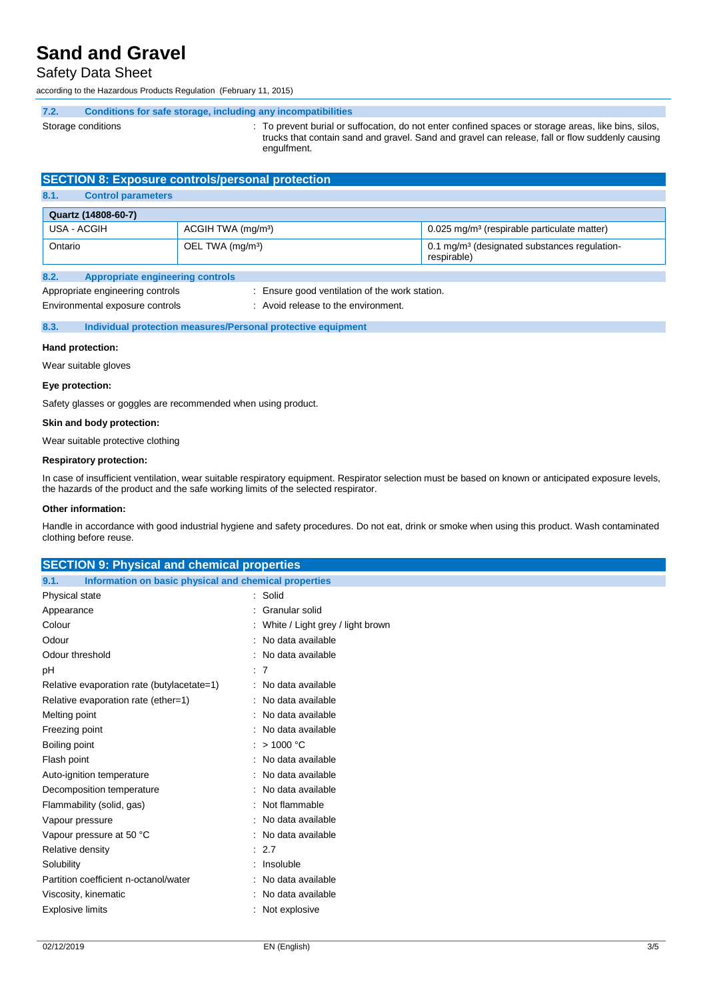## Safety Data Sheet

according to the Hazardous Products Regulation (February 11, 2015)

**7.2. Conditions for safe storage, including any incompatibilities**

- 
- Storage conditions states of the state of the prevent burial or suffocation, do not enter confined spaces or storage areas, like bins, silos, trucks that contain sand and gravel. Sand and gravel can release, fall or flow suddenly causing engulfment.

## **SECTION 8: Exposure controls/personal protection**

### **8.1. Control parameters**

| Quartz (14808-60-7) |                                |                                                                         |
|---------------------|--------------------------------|-------------------------------------------------------------------------|
| USA - ACGIH         | ACGIH TWA (mg/m <sup>3</sup> ) | 0.025 mg/m <sup>3</sup> (respirable particulate matter)                 |
| Ontario             | OEL TWA (mg/m <sup>3</sup> )   | 0.1 mg/m <sup>3</sup> (designated substances regulation-<br>respirable) |

#### **8.2. Appropriate engineering controls**

Appropriate engineering controls : Ensure good ventilation of the work station.

- 
- Environmental exposure controls : Avoid release to the environment.

#### **8.3. Individual protection measures/Personal protective equipment**

#### **Hand protection:**

Wear suitable gloves

#### **Eye protection:**

Safety glasses or goggles are recommended when using product.

#### **Skin and body protection:**

Wear suitable protective clothing

#### **Respiratory protection:**

In case of insufficient ventilation, wear suitable respiratory equipment. Respirator selection must be based on known or anticipated exposure levels, the hazards of the product and the safe working limits of the selected respirator.

#### **Other information:**

Handle in accordance with good industrial hygiene and safety procedures. Do not eat, drink or smoke when using this product. Wash contaminated clothing before reuse.

## **SECTION 9: Physical and chemical properties 9.1. Information on basic physical and chemical properties** Physical state : Solid Appearance : Granular solid Colour : White / Light grey / light brown Odour : No data available Odour threshold **in the contract of the Contract Contract Contract Contract Contract Contract Contract Contract Contract Contract Contract Contract Contract Contract Contract Contract Contract Contract Contract Contract Co** pH : 7 Relative evaporation rate (butylacetate=1) : No data available Relative evaporation rate (ether=1) : No data available Melting point **in the case of the case of the case of the case of the case of the case of the case of the case of the case of the case of the case of the case of the case of the case of the case of the case of the case of** Freezing point **in the case of the case of the case of the case of the case of the case of the case of the case of the case of the case of the case of the case of the case of the case of the case of the case of the case of** Boiling point : > 1000 °C Flash point **in the case of the case of the case of the case of the case of the case of the case of the case of the case of the case of the case of the case of the case of the case of the case of the case of the case of th** Auto-ignition temperature **interest and the Contract Contract Auto-** : No data available Decomposition temperature : No data available Flammability (solid, gas) : Not flammable Vapour pressure in the set of the set of the No data available Vapour pressure at 50 °C : No data available Relative density in the set of the set of the set of the set of the set of the set of the set of the set of the set of the set of the set of the set of the set of the set of the set of the set of the set of the set of the Solubility : Insoluble Partition coefficient n-octanol/water : No data available Viscosity, kinematic : No data available Explosive limits **Explosive** : Not explosive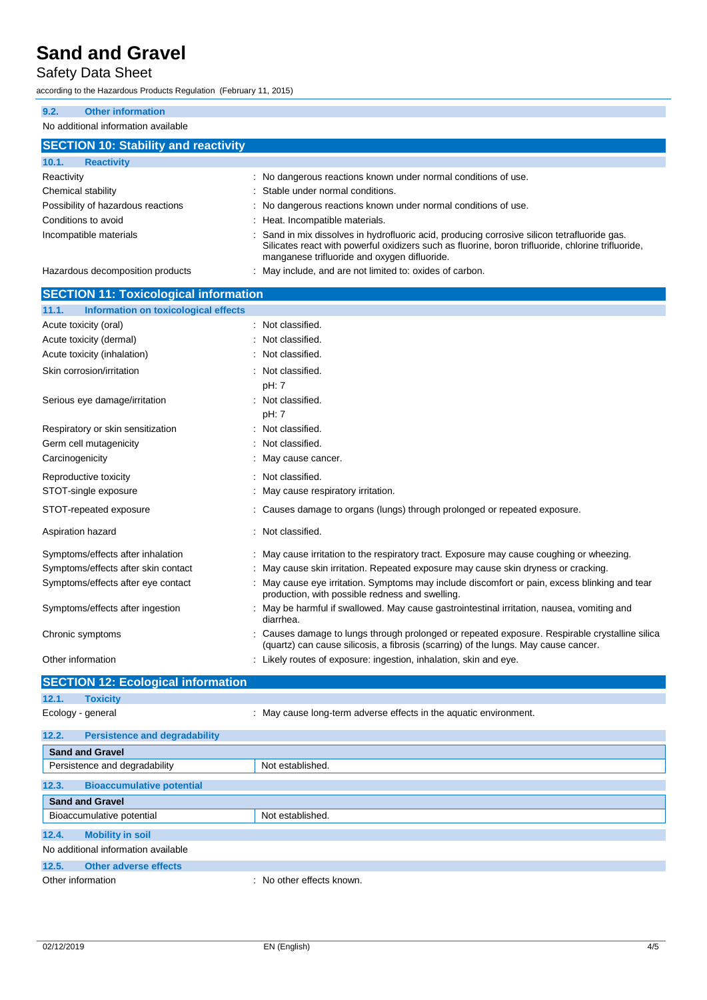## Safety Data Sheet

according to the Hazardous Products Regulation (February 11, 2015)

Aspiration hazard **in the case of the contract of the case of the contract of the contract of the contract of the contract of the contract of the contract of the contract of the contract of the contract of the contract of** 

| <b>Other information</b><br>9.2.              |                                                                                                                                                                                                                                                  |  |  |
|-----------------------------------------------|--------------------------------------------------------------------------------------------------------------------------------------------------------------------------------------------------------------------------------------------------|--|--|
| No additional information available           |                                                                                                                                                                                                                                                  |  |  |
| <b>SECTION 10: Stability and reactivity</b>   |                                                                                                                                                                                                                                                  |  |  |
| <b>Reactivity</b><br>10.1.                    |                                                                                                                                                                                                                                                  |  |  |
| Reactivity                                    | : No dangerous reactions known under normal conditions of use.                                                                                                                                                                                   |  |  |
| Chemical stability                            | Stable under normal conditions.                                                                                                                                                                                                                  |  |  |
| Possibility of hazardous reactions            | No dangerous reactions known under normal conditions of use.                                                                                                                                                                                     |  |  |
| Conditions to avoid                           | Heat. Incompatible materials.                                                                                                                                                                                                                    |  |  |
| Incompatible materials                        | Sand in mix dissolves in hydrofluoric acid, producing corrosive silicon tetrafluoride gas.<br>Silicates react with powerful oxidizers such as fluorine, boron trifluoride, chlorine trifluoride,<br>manganese trifluoride and oxygen difluoride. |  |  |
| Hazardous decomposition products              | May include, and are not limited to: oxides of carbon.                                                                                                                                                                                           |  |  |
| <b>SECTION 11: Toxicological information</b>  |                                                                                                                                                                                                                                                  |  |  |
| Information on toxicological effects<br>11.1. |                                                                                                                                                                                                                                                  |  |  |
| Acute toxicity (oral)                         | : Not classified.                                                                                                                                                                                                                                |  |  |
| Acute toxicity (dermal)                       | Not classified.                                                                                                                                                                                                                                  |  |  |
| Acute toxicity (inhalation)                   | : Not classified.                                                                                                                                                                                                                                |  |  |
| Skin corrosion/irritation                     | : Not classified.<br>pH: 7                                                                                                                                                                                                                       |  |  |
| Serious eye damage/irritation                 | Not classified.<br>pH: 7                                                                                                                                                                                                                         |  |  |
| Respiratory or skin sensitization             | Not classified.                                                                                                                                                                                                                                  |  |  |
| Germ cell mutagenicity                        | Not classified.                                                                                                                                                                                                                                  |  |  |
| Carcinogenicity                               | May cause cancer.                                                                                                                                                                                                                                |  |  |
| Reproductive toxicity                         | Not classified.                                                                                                                                                                                                                                  |  |  |
| STOT-single exposure                          | May cause respiratory irritation.                                                                                                                                                                                                                |  |  |

STOT-repeated exposure : Causes damage to organs (lungs) through prolonged or repeated exposure.

diarrhea.

Other information **contained in the contained in the contained in the contained in the contained vertices** of exposure: ingestion, inhalation, skin and eye.

Symptoms/effects after inhalation : May cause irritation to the respiratory tract. Exposure may cause coughing or wheezing. Symptoms/effects after skin contact : May cause skin irritation. Repeated exposure may cause skin dryness or cracking.

Symptoms/effects after ingestion : May be harmful if swallowed. May cause gastrointestinal irritation, nausea, vomiting and

Symptoms/effects after eye contact : May cause eye irritation. Symptoms may include discomfort or pain, excess blinking and tear production, with possible redness and swelling.

Chronic symptoms : Causes damage to lungs through prolonged or repeated exposure. Respirable crystalline silica

(quartz) can cause silicosis, a fibrosis (scarring) of the lungs. May cause cancer.

|                                     | <b>SECTION 12: Ecological information</b>     |                                                                   |  |
|-------------------------------------|-----------------------------------------------|-------------------------------------------------------------------|--|
| 12.1.                               | <b>Toxicity</b>                               |                                                                   |  |
| Ecology - general                   |                                               | : May cause long-term adverse effects in the aquatic environment. |  |
| 12.2.                               | <b>Persistence and degradability</b>          |                                                                   |  |
| <b>Sand and Gravel</b>              |                                               |                                                                   |  |
|                                     | Persistence and degradability                 | Not established.                                                  |  |
| 12.3.                               | <b>Bioaccumulative potential</b>              |                                                                   |  |
| <b>Sand and Gravel</b>              |                                               |                                                                   |  |
|                                     | Not established.<br>Bioaccumulative potential |                                                                   |  |
| 12.4.                               | <b>Mobility in soil</b>                       |                                                                   |  |
| No additional information available |                                               |                                                                   |  |

**12.5. Other adverse effects** Other information **interest in the COV** MO other effects known.